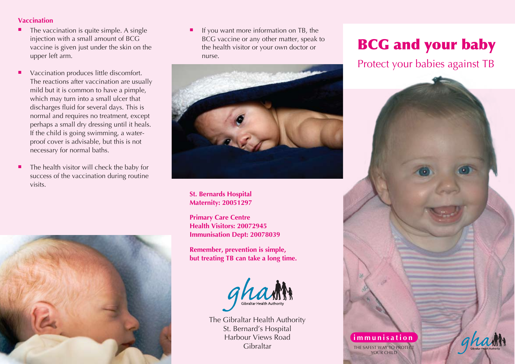## **Vaccination**

- ٠ The vaccination is quite simple. A single injection with a small amount of BCG vaccine is given just under the skin on the upper left arm.
- Ξ Vaccination produces little discomfort. The reactions after vaccination are usually mild but it is common to have a pimple, which may turn into a small ulcer that discharges fluid for several days. This is normal and requires no treatment, except perhaps a small dry dressing until it heals. If the child is going swimming, a waterproof cover is advisable, but this is not necessary for normal baths.
- × The health visitor will check the baby for success of the vaccination during routine visits.



Ξ If you want more information on TB, the BCG vaccine or any other matter, speak to the health visitor or your own doctor or nurse.



**St. Bernards Hospital Maternity: 20051297**

**Primary Care Centre Health Visitors: 20072945 Immunisation Dept: 20078039**

**Remember, prevention is simple, but treating TB can take a long time.**



The Gibraltar Health Authority St. Bernard's Hospital Harbour Views Road Gibraltar

# BCG and your baby

## Protect your babies against TB